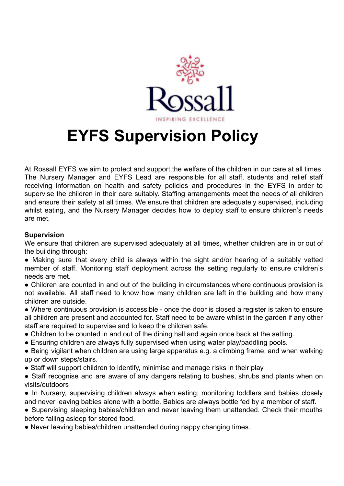

## **EYFS Supervision Policy**

At Rossall EYFS we aim to protect and support the welfare of the children in our care at all times. The Nursery Manager and EYFS Lead are responsible for all staff, students and relief staff receiving information on health and safety policies and procedures in the EYFS in order to supervise the children in their care suitably. Staffing arrangements meet the needs of all children and ensure their safety at all times. We ensure that children are adequately supervised, including whilst eating, and the Nursery Manager decides how to deploy staff to ensure children's needs are met.

## **Supervision**

We ensure that children are supervised adequately at all times, whether children are in or out of the building through:

- Making sure that every child is always within the sight and/or hearing of a suitably vetted member of staff. Monitoring staff deployment across the setting regularly to ensure children's needs are met.
- Children are counted in and out of the building in circumstances where continuous provision is not available. All staff need to know how many children are left in the building and how many children are outside.
- Where continuous provision is accessible once the door is closed a register is taken to ensure all children are present and accounted for. Staff need to be aware whilst in the garden if any other staff are required to supervise and to keep the children safe.
- Children to be counted in and out of the dining hall and again once back at the setting.
- Ensuring children are always fully supervised when using water play/paddling pools.
- Being vigilant when children are using large apparatus e.g. a climbing frame, and when walking up or down steps/stairs.
- Staff will support children to identify, minimise and manage risks in their play
- Staff recognise and are aware of any dangers relating to bushes, shrubs and plants when on visits/outdoors
- In Nursery, supervising children always when eating; monitoring toddlers and babies closely and never leaving babies alone with a bottle. Babies are always bottle fed by a member of staff.

• Supervising sleeping babies/children and never leaving them unattended. Check their mouths before falling asleep for stored food.

• Never leaving babies/children unattended during nappy changing times.